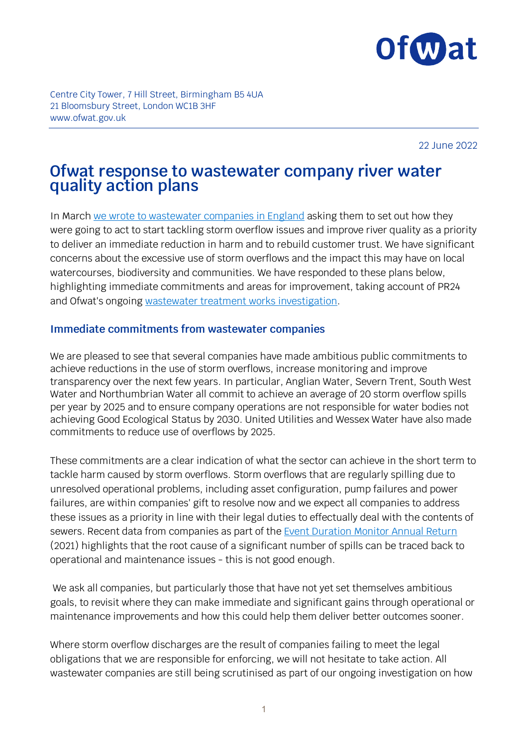

Centre City Tower, 7 Hill Street, Birmingham B5 4UA 21 Bloomsbury Street, London WC1B 3HF www.ofwat.gov.uk

22 June 2022

# **Ofwat response to wastewater company river water quality action plans**

In March [we wrote to wastewater companies in England](https://www.ofwat.gov.uk/wp-content/uploads/2022/03/Letter-from-David-Black-to-CEOs-on-Environment-Act-duties.pdf) asking them to set out how they were going to act to start tackling storm overflow issues and improve river quality as a priority to deliver an immediate reduction in harm and to rebuild customer trust. We have significant concerns about the excessive use of storm overflows and the impact this may have on local watercourses, biodiversity and communities. We have responded to these plans below, highlighting immediate commitments and areas for improvement, taking account of PR24 and Ofwat's ongoing [wastewater treatment works investigation.](https://www.ofwat.gov.uk/investigation-into-sewage-treatment-works/)

#### **Immediate commitments from wastewater companies**

We are pleased to see that several companies have made ambitious public commitments to achieve reductions in the use of storm overflows, increase monitoring and improve transparency over the next few years. In particular, Anglian Water, Severn Trent, South West Water and Northumbrian Water all commit to achieve an average of 20 storm overflow spills per year by 2025 and to ensure company operations are not responsible for water bodies not achieving Good Ecological Status by 2030. United Utilities and Wessex Water have also made commitments to reduce use of overflows by 2025.

These commitments are a clear indication of what the sector can achieve in the short term to tackle harm caused by storm overflows. Storm overflows that are regularly spilling due to unresolved operational problems, including asset configuration, pump failures and power failures, are within companies' gift to resolve now and we expect all companies to address these issues as a priority in line with their legal duties to effectually deal with the contents of sewers. Recent data from companies as part of the [Event Duration Monitor Annual Return](https://environment.data.gov.uk/dataset/21e15f12-0df8-4bfc-b763-45226c16a8ac) (2021) highlights that the root cause of a significant number of spills can be traced back to operational and maintenance issues - this is not good enough.

We ask all companies, but particularly those that have not yet set themselves ambitious goals, to revisit where they can make immediate and significant gains through operational or maintenance improvements and how this could help them deliver better outcomes sooner.

Where storm overflow discharges are the result of companies failing to meet the legal obligations that we are responsible for enforcing, we will not hesitate to take action. All wastewater companies are still being scrutinised as part of our ongoing investigation on how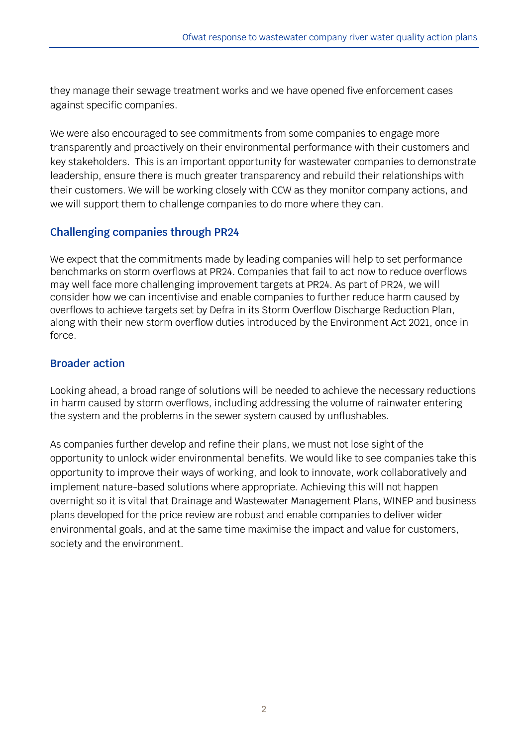they manage their sewage treatment works and we have opened five enforcement cases against specific companies.

We were also encouraged to see commitments from some companies to engage more transparently and proactively on their environmental performance with their customers and key stakeholders. This is an important opportunity for wastewater companies to demonstrate leadership, ensure there is much greater transparency and rebuild their relationships with their customers. We will be working closely with CCW as they monitor company actions, and we will support them to challenge companies to do more where they can.

## **Challenging companies through PR24**

We expect that the commitments made by leading companies will help to set performance benchmarks on storm overflows at PR24. Companies that fail to act now to reduce overflows may well face more challenging improvement targets at PR24. As part of PR24, we will consider how we can incentivise and enable companies to further reduce harm caused by overflows to achieve targets set by Defra in its Storm Overflow Discharge Reduction Plan, along with their new storm overflow duties introduced by the Environment Act 2021, once in force.

### **Broader action**

Looking ahead, a broad range of solutions will be needed to achieve the necessary reductions in harm caused by storm overflows, including addressing the volume of rainwater entering the system and the problems in the sewer system caused by unflushables.

As companies further develop and refine their plans, we must not lose sight of the opportunity to unlock wider environmental benefits. We would like to see companies take this opportunity to improve their ways of working, and look to innovate, work collaboratively and implement nature-based solutions where appropriate. Achieving this will not happen overnight so it is vital that Drainage and Wastewater Management Plans, WINEP and business plans developed for the price review are robust and enable companies to deliver wider environmental goals, and at the same time maximise the impact and value for customers, society and the environment.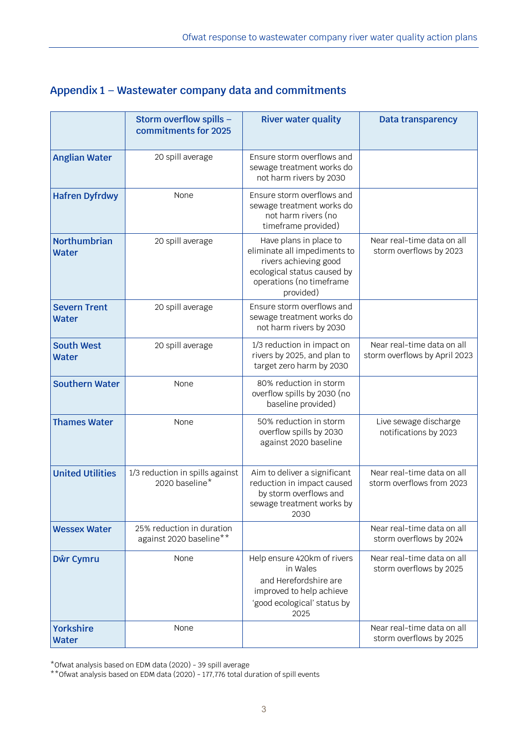| Appendix 1 - Wastewater company data and commitments |  |  |  |
|------------------------------------------------------|--|--|--|
|------------------------------------------------------|--|--|--|

|                                     | Storm overflow spills -<br>commitments for 2025      | <b>River water quality</b>                                                                                                                              | <b>Data transparency</b>                                    |
|-------------------------------------|------------------------------------------------------|---------------------------------------------------------------------------------------------------------------------------------------------------------|-------------------------------------------------------------|
| <b>Anglian Water</b>                | 20 spill average                                     | Ensure storm overflows and<br>sewage treatment works do<br>not harm rivers by 2030                                                                      |                                                             |
| <b>Hafren Dyfrdwy</b>               | None                                                 | Ensure storm overflows and<br>sewage treatment works do<br>not harm rivers (no<br>timeframe provided)                                                   |                                                             |
| <b>Northumbrian</b><br><b>Water</b> | 20 spill average                                     | Have plans in place to<br>eliminate all impediments to<br>rivers achieving good<br>ecological status caused by<br>operations (no timeframe<br>provided) | Near real-time data on all<br>storm overflows by 2023       |
| <b>Severn Trent</b><br><b>Water</b> | 20 spill average                                     | Ensure storm overflows and<br>sewage treatment works do<br>not harm rivers by 2030                                                                      |                                                             |
| <b>South West</b><br><b>Water</b>   | 20 spill average                                     | 1/3 reduction in impact on<br>rivers by 2025, and plan to<br>target zero harm by 2030                                                                   | Near real-time data on all<br>storm overflows by April 2023 |
| <b>Southern Water</b>               | None                                                 | 80% reduction in storm<br>overflow spills by 2030 (no<br>baseline provided)                                                                             |                                                             |
| <b>Thames Water</b>                 | None                                                 | 50% reduction in storm<br>overflow spills by 2030<br>against 2020 baseline                                                                              | Live sewage discharge<br>notifications by 2023              |
| <b>United Utilities</b>             | 1/3 reduction in spills against<br>2020 baseline*    | Aim to deliver a significant<br>reduction in impact caused<br>by storm overflows and<br>sewage treatment works by<br>2030                               | Near real-time data on all<br>storm overflows from 2023     |
| <b>Wessex Water</b>                 | 25% reduction in duration<br>against 2020 baseline** |                                                                                                                                                         | Near real-time data on all<br>storm overflows by 2024       |
| Dŵr Cymru                           | None                                                 | Help ensure 420km of rivers<br>in Wales<br>and Herefordshire are<br>improved to help achieve<br>'good ecological' status by<br>2025                     | Near real-time data on all<br>storm overflows by 2025       |
| <b>Yorkshire</b><br><b>Water</b>    | None                                                 |                                                                                                                                                         | Near real-time data on all<br>storm overflows by 2025       |

\*Ofwat analysis based on EDM data (2020) - 39 spill average

\*\*Ofwat analysis based on EDM data (2020) - 177,776 total duration of spill events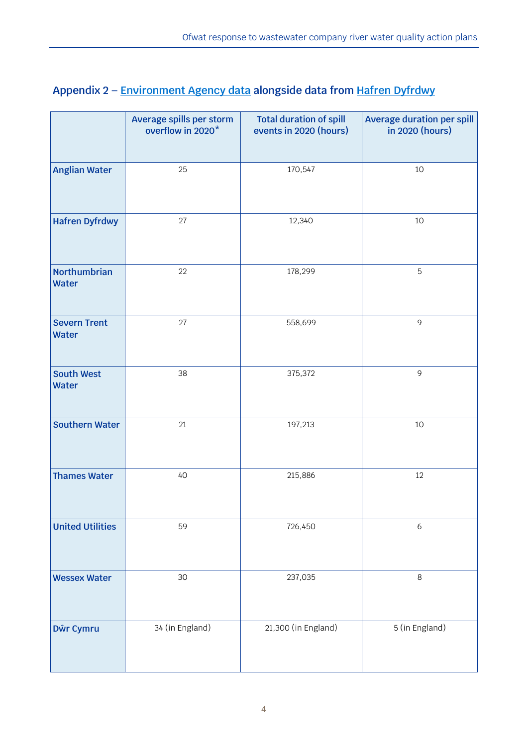|                                     | Average spills per storm<br>overflow in 2020* | <b>Total duration of spill</b><br>events in 2020 (hours) | <b>Average duration per spill</b><br>in 2020 (hours) |
|-------------------------------------|-----------------------------------------------|----------------------------------------------------------|------------------------------------------------------|
|                                     |                                               |                                                          |                                                      |
| <b>Anglian Water</b>                | 25                                            | 170,547                                                  | 10                                                   |
| <b>Hafren Dyfrdwy</b>               | 27                                            | 12,340                                                   | $10$                                                 |
| <b>Northumbrian</b><br><b>Water</b> | 22                                            | 178,299                                                  | 5                                                    |
| <b>Severn Trent</b><br><b>Water</b> | 27                                            | 558,699                                                  | 9                                                    |
| <b>South West</b><br><b>Water</b>   | 38                                            | 375,372                                                  | $\overline{9}$                                       |
| <b>Southern Water</b>               | 21                                            | 197,213                                                  | 10                                                   |
| <b>Thames Water</b>                 | 40                                            | 215,886                                                  | 12                                                   |
| <b>United Utilities</b>             | 59                                            | 726,450                                                  | 6                                                    |
| <b>Wessex Water</b>                 | 30                                            | 237,035                                                  | $\,8\,$                                              |
| Dŵr Cymru                           | 34 (in England)                               | 21,300 (in England)                                      | 5 (in England)                                       |

## **Appendix 2 – [Environment Agency data](https://environment.data.gov.uk/dataset/21e15f12-0df8-4bfc-b763-45226c16a8ac) alongside data from [Hafren Dyfrdwy](https://www.hdcymru.co.uk/regulatory-library/regulatory-library/#event-duration-monitor-edm-data-2020)**